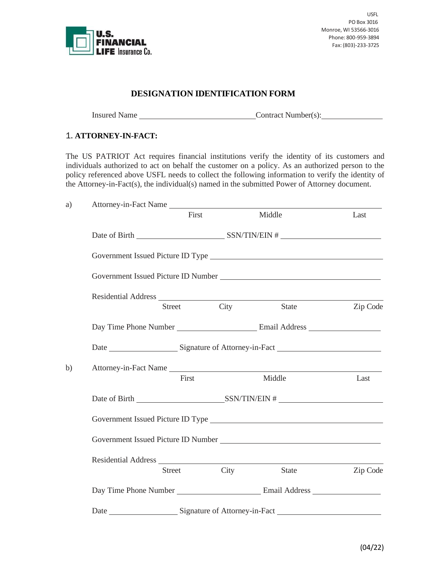

USFL PO Box 3016 Monroe, WI 53566-3016 Phone: 800-959-3894 Fax: (803)-233-3725

## **DESIGNATION IDENTIFICATION FORM**

Insured Name Contract Number(s):

## 1. **ATTORNEY-IN-FACT:**

The US PATRIOT Act requires financial institutions verify the identity of its customers and individuals authorized to act on behalf the customer on a policy. As an authorized person to the policy referenced above USFL needs to collect the following information to verify the identity of the Attorney-in-Fact(s), the individual(s) named in the submitted Power of Attorney document.

| a) | Attorney-in-Fact Name                                                                                                                                                                                                                |        |      |              |          |  |  |
|----|--------------------------------------------------------------------------------------------------------------------------------------------------------------------------------------------------------------------------------------|--------|------|--------------|----------|--|--|
|    |                                                                                                                                                                                                                                      | First  |      | Middle       | Last     |  |  |
|    |                                                                                                                                                                                                                                      |        |      |              |          |  |  |
|    |                                                                                                                                                                                                                                      |        |      |              |          |  |  |
|    |                                                                                                                                                                                                                                      |        |      |              |          |  |  |
|    |                                                                                                                                                                                                                                      |        |      |              |          |  |  |
|    |                                                                                                                                                                                                                                      | Street | City | State        | Zip Code |  |  |
|    |                                                                                                                                                                                                                                      |        |      |              |          |  |  |
|    |                                                                                                                                                                                                                                      |        |      |              |          |  |  |
| b) | Attorney-in-Fact Name                                                                                                                                                                                                                |        |      |              |          |  |  |
|    |                                                                                                                                                                                                                                      | First  |      | Middle       | Last     |  |  |
|    |                                                                                                                                                                                                                                      |        |      |              |          |  |  |
|    | Government Issued Picture ID Type <b>Constant Constant Constant Constant Constant Constant Constant Constant Constant Constant Constant Constant Constant Constant Constant Constant Constant Constant Constant Constant Constan</b> |        |      |              |          |  |  |
|    |                                                                                                                                                                                                                                      |        |      |              |          |  |  |
|    |                                                                                                                                                                                                                                      |        |      |              |          |  |  |
|    |                                                                                                                                                                                                                                      | Street | City | <b>State</b> | Zip Code |  |  |
|    |                                                                                                                                                                                                                                      |        |      |              |          |  |  |
|    |                                                                                                                                                                                                                                      |        |      |              |          |  |  |